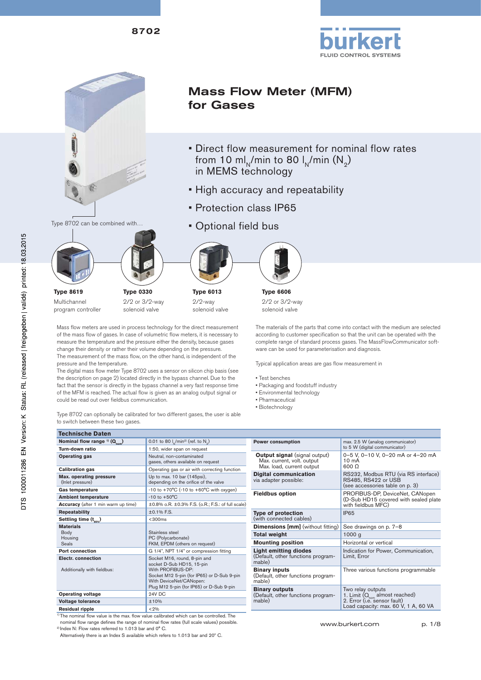8702





# Mass Flow Meter (MFM) for Gases

- Direct flow measurement for nominal flow rates from 10 ml<sub>N</sub>/min to 80 l<sub>N</sub>/min  $(N_2)$ in MEMS technology
- High accuracy and repeatability
- Protection class IP65
- Optional field bus

**Type 6013** 2/2-way solenoid valve



**Type 6606** 2/2 or 3/2-way solenoid valve

Mass flow meters are used in process technology for the direct measurement of the mass flow of gases. In case of volumetric flow meters, it is necessary to measure the temperature and the pressure either the density, because gases change their density or rather their volume depending on the pressure. The measurement of the mass flow, on the other hand, is independent of the pressu

**Type 0330** 2/2 or 3/2-way solenoid valve

The digital mass flow meter Type 8702 uses a sensor on silicon chip basis (see the description on page 2) located directly in the bypass channel. Due to the fact that the sensor is directly in the bypass channel a very fast response time of the MFM is reached. The actual flow is given as an analog output signal or could be read out over fieldbus communication.

| mass flow of gases. In case of volumetric flow meters, it is necessary to |
|---------------------------------------------------------------------------|
| re the temperature and the pressure either the density, because gases     |
| e their density or rather their volume depending on the pressure.         |
| easurement of the mass flow, on the other hand, is independent of the     |
| re and the temperature.                                                   |
| gital mass flow meter Type 8702 uses a sensor on silicon chip basis (see  |
| scription on page 2) located directly in the bypass channel. Due to the   |
| at the sensor is directly in the bypass channel a very fast response time |

Type 8702 can optionally be calibrated for two different gases, the user is able to switch between these two gases.

| <b>Technische Daten</b>                                                       |                                                                                                                                                                                                     |
|-------------------------------------------------------------------------------|-----------------------------------------------------------------------------------------------------------------------------------------------------------------------------------------------------|
| Nominal flow range $(0, 0)$                                                   | 0.01 to 80 $I_{\rm N}$ /min <sup>2)</sup> (ref. to N <sub>2</sub> )                                                                                                                                 |
| Turn-down ratio                                                               | 1:50, wider span on request                                                                                                                                                                         |
| Operating gas                                                                 | Neutral, non-contaminated<br>gases, others available on request                                                                                                                                     |
| <b>Calibration gas</b>                                                        | Operating gas or air with correcting function                                                                                                                                                       |
| Max. operating pressure<br>(Inlet pressure)                                   | Up to max. 10 bar (145psi),<br>depending on the orifice of the valve                                                                                                                                |
| <b>Gas temperature</b>                                                        | $-10$ to $+70^{\circ}$ C ( $-10$ to $+60^{\circ}$ C with oxygen)                                                                                                                                    |
| <b>Ambient temperature</b>                                                    | $-10$ to $+50^{\circ}$ C                                                                                                                                                                            |
| <b>Accuracy</b> (after 1 min warm up time)                                    | ±0.8% o.R. ±0.3% F.S. (o.R.; F.S.: of full scale)                                                                                                                                                   |
| <b>Repeatability</b>                                                          | $±0.1\%$ F.S.                                                                                                                                                                                       |
| Settling time $(t_{\text{new}})$                                              | < 300ms                                                                                                                                                                                             |
| <b>Materials</b><br>Body<br>Housing<br><b>Seals</b><br><b>Port connection</b> | Stainless steel<br>PC (Polycarbonate)<br>FKM, EPDM (others on request)<br>G 1/4", NPT 1/4" or compression fitting                                                                                   |
| <b>Electr.</b> connection<br>Additionally with fieldbus:                      | Socket M16, round, 8-pin and<br>socket D-Sub HD15, 15-pin<br>With PROFIBUS-DP:<br>Socket M12 5-pin (for IP65) or D-Sub 9-pin<br>With DeviceNet/CANopen:<br>Plug M12 5-pin (for IP65) or D-Sub 9-pin |
| <b>Operating voltage</b>                                                      | <b>24V DC</b>                                                                                                                                                                                       |
| <b>Voltage tolerance</b>                                                      | ±10%                                                                                                                                                                                                |
| <b>Residual ripple</b>                                                        | < 2%                                                                                                                                                                                                |

 $1)$  The nominal flow value is the max. flow value calibrated which can be controlled. The nominal flow range defines the range of nominal flow rates (full scale values) possible.<br><sup>2)</sup> Index N: Flow rates referred to 1.013 bar and 0° C.

Alternatively there is an Index S available which refers to 1.013 bar and 20º C.

The materials of the parts that come into contact with the medium are selected according to customer specification so that the unit can be operated with the complete range of standard process gases. The MassFlowCommunicator software can be used for parameterisation and diagnosis.

Typical application areas are gas flow measurement in

- Test benches
- Packaging and foodstuff industry
- Environmental technology
- Pharmaceutical
- Biotechnology

| <b>Power consumption</b>                                                                        | max. 2.5 W (analog communicator)<br>to 5 W (digital communicator)                                                                        |
|-------------------------------------------------------------------------------------------------|------------------------------------------------------------------------------------------------------------------------------------------|
| <b>Output signal</b> (signal output)<br>Max. current, volt. output<br>Max. load, current output | 0-5 V, 0-10 V, 0-20 mA or 4-20 mA<br>$10 \text{ mA}$<br>600 O                                                                            |
| <b>Digital communication</b><br>via adapter possible:                                           | RS232, Modbus RTU (via RS interface)<br>RS485, RS422 or USB<br>(see accessories table on p. 3)                                           |
| <b>Fieldbus option</b>                                                                          | PROFIBUS-DP, DeviceNet, CANopen<br>(D-Sub HD15 covered with sealed plate<br>with fieldbus MFC)                                           |
| <b>Type of protection</b><br>(with connected cables)                                            | IP <sub>65</sub>                                                                                                                         |
| <b>Dimensions [mm]</b> (without fitting)                                                        | See drawings on p. 7-8                                                                                                                   |
| Total weight                                                                                    | 1000 <sub>a</sub>                                                                                                                        |
| <b>Mounting position</b>                                                                        | Horizontal or vertical                                                                                                                   |
| <b>Light emitting diodes</b><br>(Default, other functions program-<br>mable)                    | Indication for Power, Communication,<br>Limit, Error                                                                                     |
| <b>Binary inputs</b><br>(Default, other functions program-<br>mable)                            | Three various functions programmable                                                                                                     |
| <b>Binary outputs</b><br>(Default, other functions program-<br>mable)                           | Two relay outputs<br>1. Limit $(Q_{\text{com}})$ almost reached)<br>2. Error (i.e. sensor fault)<br>Load capacity: max. 60 V, 1 A, 60 VA |

www.burkert.com p. 1/8

**Type 8619** Multichannel program controller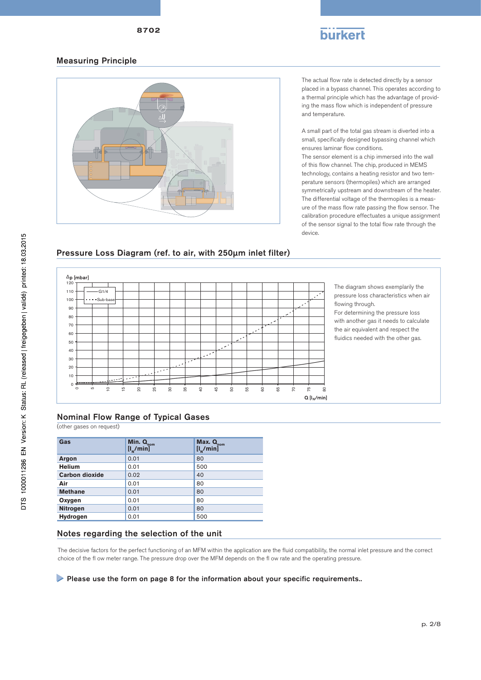

#### Measuring Principle



The actual flow rate is detected directly by a sensor placed in a bypass channel. This operates according to a thermal principle which has the advantage of providing the mass flow which is independent of pressure and temperature.

A small part of the total gas stream is diverted into a small, specifically designed bypassing channel which ensures laminar flow conditions.

The sensor element is a chip immersed into the wall of this flow channel. The chip, produced in MEMS technology, contains a heating resistor and two temperature sensors (thermopiles) which are arranged symmetrically upstream and downstream of the heater. The differential voltage of the thermopiles is a measure of the mass flow rate passing the flow sensor. The calibration procedure effectuates a unique assignment of the sensor signal to the total flow rate through the device.



## Pressure Loss Diagram (ref. to air, with 250μm inlet filter)

(other gases on request)

| Gas                   | Min. $\mathbf{Q}_{\text{nom}}$<br>$[I_{N}/min]$ | Max. Q <sub>nom</sub><br>$[I_{N}/min]$ |
|-----------------------|-------------------------------------------------|----------------------------------------|
| Argon                 | 0.01                                            | 80                                     |
| <b>Helium</b>         | 0.01                                            | 500                                    |
| <b>Carbon dioxide</b> | 0.02                                            | 40                                     |
| Air                   | 0.01                                            | 80                                     |
| <b>Methane</b>        | 0.01                                            | 80                                     |
| Oxygen                | 0.01                                            | 80                                     |
| <b>Nitrogen</b>       | 0.01                                            | 80                                     |
| Hydrogen              | 0.01                                            | 500                                    |

#### Notes regarding the selection of the unit

The decisive factors for the perfect functioning of an MFM within the application are the fluid compatibility, the normal inlet pressure and the correct choice of the fl ow meter range. The pressure drop over the MFM depends on the fl ow rate and the operating pressure.

#### Please use the form on page 8 for the information about your specific requirements..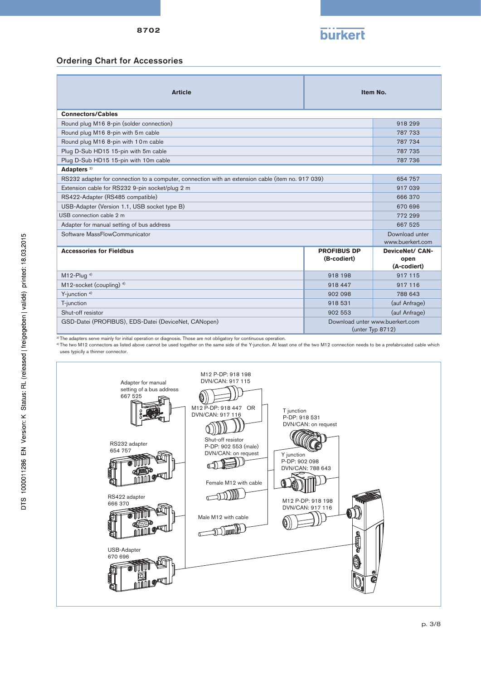

#### Ordering Chart for Accessories

| <b>Article</b>                                                                                    |                                   | Item No.                                            |
|---------------------------------------------------------------------------------------------------|-----------------------------------|-----------------------------------------------------|
| <b>Connectors/Cables</b>                                                                          |                                   |                                                     |
| Round plug M16 8-pin (solder connection)                                                          |                                   | 918 299                                             |
| Round plug M16 8-pin with 5m cable                                                                |                                   | 787 733                                             |
| Round plug M16 8-pin with 10m cable                                                               |                                   | 787 734                                             |
| Plug D-Sub HD15 15-pin with 5m cable                                                              |                                   | 787 735                                             |
| Plug D-Sub HD15 15-pin with 10m cable                                                             |                                   | 787 736                                             |
| Adapters <sup>3)</sup>                                                                            |                                   |                                                     |
| RS232 adapter for connection to a computer, connection with an extension cable (item no. 917 039) |                                   | 654 757                                             |
| Extension cable for RS232 9-pin socket/plug 2 m                                                   |                                   | 917 039                                             |
| RS422-Adapter (RS485 compatible)                                                                  |                                   | 666 370                                             |
| USB-Adapter (Version 1.1, USB socket type B)                                                      |                                   | 670 696                                             |
| USB connection cable 2 m                                                                          |                                   | 772 299                                             |
| Adapter for manual setting of bus address                                                         |                                   | 667 525                                             |
| Software MassFlowCommunicator                                                                     |                                   | Download unter<br>www.buerkert.com                  |
| <b>Accessories for Fieldbus</b>                                                                   | <b>PROFIBUS DP</b><br>(B-codiert) | <b>DeviceNet/ CAN-</b><br>open<br>(A-codiert)       |
| $M12$ -Plug <sup>4)</sup>                                                                         | 918 198                           | 917 115                                             |
| M12-socket (coupling) $4$ )                                                                       | 918 447                           | 917 116                                             |
| Y-junction $4$ )                                                                                  | 902 098                           | 788 643                                             |
| T-junction                                                                                        | 918 531                           | (auf Anfrage)                                       |
| Shut-off resistor                                                                                 | 902 553                           | (auf Anfrage)                                       |
| GSD-Datei (PROFIBUS), EDS-Datei (DeviceNet, CANopen)                                              |                                   | Download unter www.buerkert.com<br>(unter Typ 8712) |

<sup>3)</sup> The adapters serve mainly for initial operation or diagnosis. Those are not obligatory for continuous operation.

<sup>4)</sup> The two M12 connectors as listed above cannot be used together on the same side of the Y-junction. At least one of the two M12 connection needs to be a prefabricated cable which uses typiclly a thinner connector.

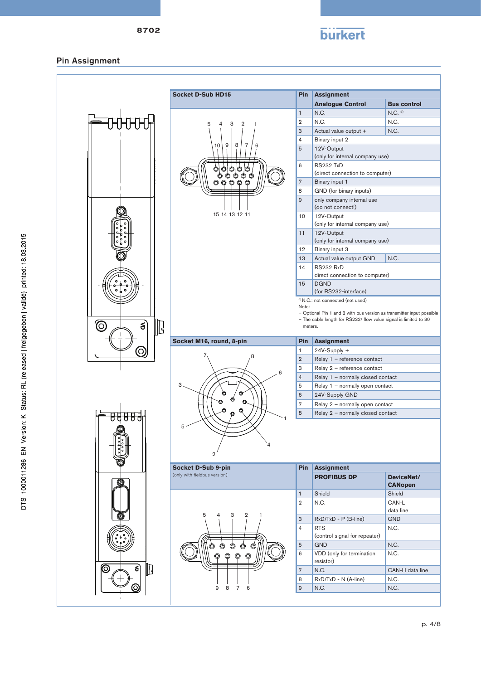

#### Pin Assignment

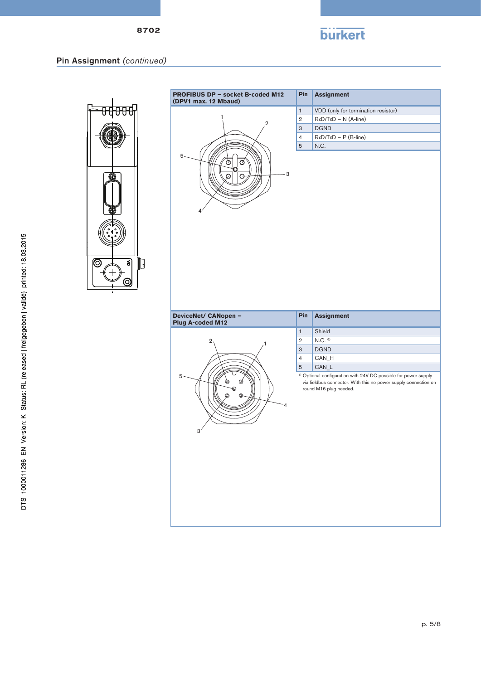

## Pin Assignment *(continued)*



| <b>PROFIBUS DP - socket B-coded M12</b><br>(DPV1 max. 12 Mbaud) | Pin                           | <b>Assignment</b>                                                                                                                                                       |  |  |
|-----------------------------------------------------------------|-------------------------------|-------------------------------------------------------------------------------------------------------------------------------------------------------------------------|--|--|
|                                                                 | $\mathbf{1}$                  | VDD (only for termination resistor)                                                                                                                                     |  |  |
|                                                                 | $\overline{2}$                | RxD/TxD - N (A-line)                                                                                                                                                    |  |  |
| $\overline{2}$                                                  | 3                             | <b>DGND</b>                                                                                                                                                             |  |  |
|                                                                 |                               | $RxD/TxD - P(B-line)$                                                                                                                                                   |  |  |
|                                                                 | $\overline{4}$<br>$\mathbf 5$ | N.C.                                                                                                                                                                    |  |  |
| 5<br>O<br>Ø<br>3<br>റ<br>Θ<br>4                                 |                               |                                                                                                                                                                         |  |  |
| DeviceNet/ CANopen -<br>Plug A-coded M12                        | Pin                           | <b>Assignment</b>                                                                                                                                                       |  |  |
|                                                                 | $\mathbf{1}$                  | Shield                                                                                                                                                                  |  |  |
| $\overline{\mathbf{2}}$                                         | $\overline{2}$                | $N.C.$ <sup>6)</sup>                                                                                                                                                    |  |  |
|                                                                 | 3<br>$\overline{4}$           | <b>DGND</b>                                                                                                                                                             |  |  |
|                                                                 |                               | CAN_H                                                                                                                                                                   |  |  |
|                                                                 | $\sqrt{5}$                    | CAN_L                                                                                                                                                                   |  |  |
| 5<br>⊚<br>Ø<br>◉<br>©<br>⊚<br>4<br>3'                           |                               | <sup>6)</sup> Optional configuration with 24V DC possible for power supply<br>via fieldbus connector. With this no power supply connection on<br>round M16 plug needed. |  |  |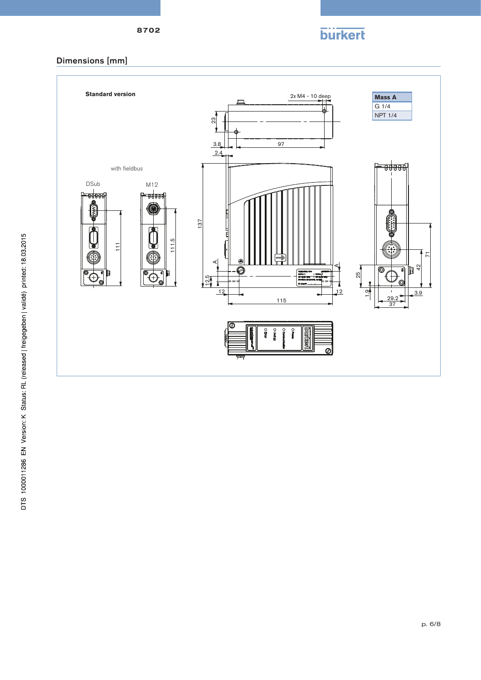

## Dimensions [mm]

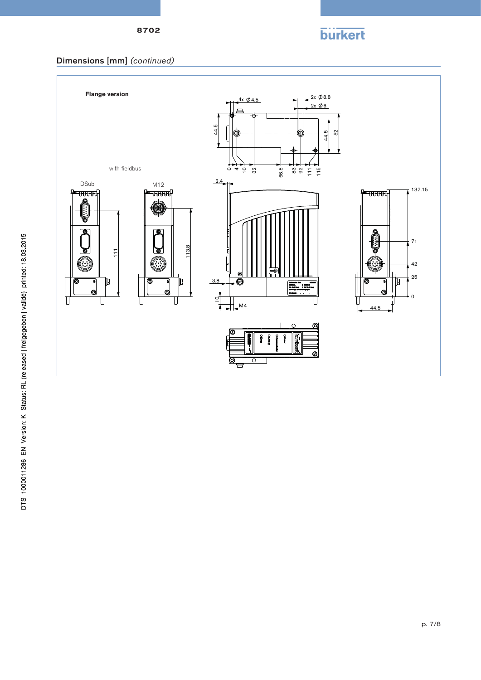

### Dimensions [mm] *(continued)*